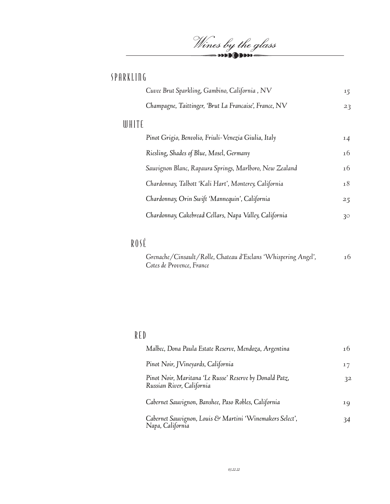Wines by the glass

## SPARKLING

|       | Cuvee Brut Sparkling, Gambino, California, NV           | 15              |
|-------|---------------------------------------------------------|-----------------|
|       | Champagne, Taittinger, 'Brut La Francaise', France, NV  | 23              |
| WHITE |                                                         |                 |
|       | Pinot Grigio, Benvolio, Friuli-Venezia Giulia, Italy    | 14              |
|       | Riesling, Shades of Blue, Mosel, Germany                | 16              |
|       | Sauvignon Blanc, Rapaura Springs, Marlboro, New Zealand | 16              |
|       | Chardonnay, Talbott 'Kali Hart', Monterey, California   | 18              |
|       | Chardonnay, Orin Swift 'Mannequin', California          | 25              |
|       | Chardonnay, Cakebread Cellars, Napa Valley, California  | 30 <sup>°</sup> |
|       |                                                         |                 |

## ROSÉ

| Grenache/Cinsault/Rolle, Chateau d'Esclans 'Whispering Angel', | 16 |
|----------------------------------------------------------------|----|
| Cotes de Provence, France                                      |    |

## RED

| Malbec, Dona Paula Estate Reserve, Mendoza, Argentina                                | 16 |
|--------------------------------------------------------------------------------------|----|
| Pinot Noir, JVineyards, California                                                   | 17 |
| Pinot Noir, Maritana 'Le Russe' Reserve by Donald Patz,<br>Russian River, California | 32 |
| Cabernet Sauvignon, Banshee, Paso Robles, California                                 | 19 |
| Cabernet Sauvignon, Louis & Martini 'Winemakers Select',<br>Napa, California         | 34 |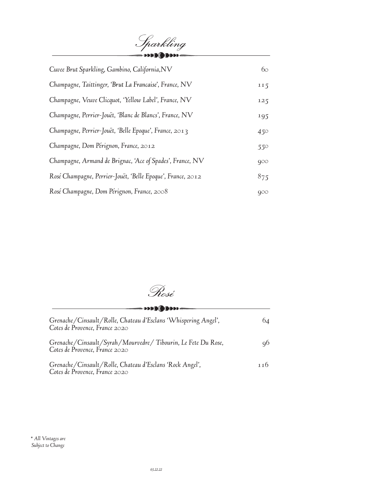Sparkling *Cuvee Brut Sparkling, Gambino, California,NV 60 Champagne, Taittinger, 'Brut La Francaise', France, NV 115 Champagne, Veuve Clicquot, 'Yellow Label', France, NV 125 Champagne, Perrier-Jouët, 'Blanc de Blancs', France, NV 195 Champagne, Perrier-Jouët, 'Belle Epoque', France, 2013 450 Champagne, Dom Pérignon, France, 2012 550 Champagne, Armand de Brignac, 'Ace of Spades', France, NV 900 Rosé Champagne, Perrier-Jouët, 'Belle Epoque', France, 2012 875 Rosé Champagne, Dom Pérignon, France, 2008 900*

Rosé

**MARIAM** 

| Grenache/Cinsault/Rolle, Chateau d'Esclans 'Whispering Angel',<br>Cotes de Provence, France 2020 | 64  |
|--------------------------------------------------------------------------------------------------|-----|
| Grenache/Cinsault/Syrah/Mourvedre/Tibourin, Le Fete Du Rose,<br>Cotes de Provence, France 2020   | 90. |
| Grenache/Cinsault/Rolle, Chateau d'Esclans 'Rock Angel',<br>Cotes de Provence, France 2020       | 116 |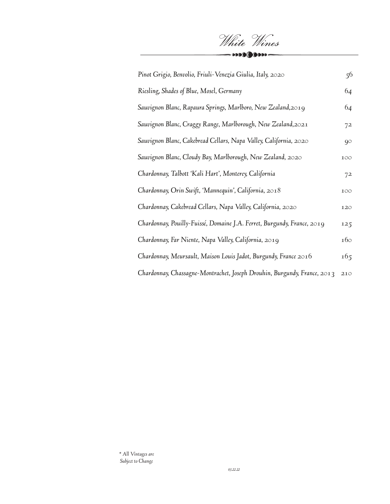| Pinot Grigio, Benvolio, Friuli-Venezia Giulia, Italy, 2020               | 56  |
|--------------------------------------------------------------------------|-----|
| Riesling, Shades of Blue, Mosel, Germany                                 | 64  |
| Sauvignon Blanc, Rapaura Springs, Marlboro, New Zealand,2019             | 64  |
| Sauvignon Blanc, Craggy Range, Marlborough, New Zealand,2021             | 72  |
| Sauvignon Blanc, Cakebread Cellars, Napa Valley, California, 2020        | 90  |
| Sauvignon Blanc, Cloudy Bay, Marlborough, New Zealand, 2020              | 100 |
| Chardonnay, Talbott 'Kali Hart', Monterey, California                    | 72  |
| Chardonnay, Orin Swift, 'Mannequin', California, 2018                    | 100 |
| Chardonnay, Cakebread Cellars, Napa Valley, California, 2020             | 120 |
| Chardonnay, Pouilly-Fuissé, Domaine J.A. Ferret, Burgundy, France, 2019  | 125 |
| Chardonnay, Far Niente, Napa Valley, California, 2019                    | 160 |
| Chardonnay, Meursault, Maison Louis Jadot, Burgundy, France $2016$       | 165 |
| Chardonnay, Chassagne-Montrachet, Joseph Drouhin, Burgundy, France, 2013 | 210 |

White Wines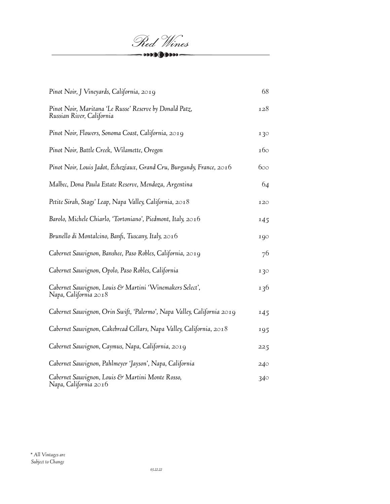

| Pinot Noir, J Vineyards, California, 2019                                            | 68  |
|--------------------------------------------------------------------------------------|-----|
| Pinot Noir, Maritana 'Le Russe' Reserve by Donald Patz,<br>Russian River, California | 128 |
| Pinot Noir, Flowers, Sonoma Coast, California, 2019                                  | 130 |
| Pinot Noir, Battle Creek, Wilamette, Oregon                                          | 160 |
| Pinot Noir, Louis Jadot, Échezéaux, Grand Cru, Burgundy, France, 2016                | 600 |
| Malbec, Dona Paula Estate Reserve, Mendoza, Argentina                                | 64  |
| Petite Sirah, Stags' Leap, Napa Valley, California, 2018                             | 120 |
| Barolo, Michele Chiarlo, 'Tortoniano', Piedmont, Italy, $2016$                       | 145 |
| Brunello di Montalcino, Banfi, Tuscany, Italy, 2016                                  | 190 |
| Cabernet Sauvignon, Banshee, Paso Robles, California, 2019                           | 76  |
| Cabernet Sauvignon, Opolo, Paso Robles, California                                   | 130 |
| Cabernet Sauvignon, Louis & Martini 'Winemakers Select',<br>Napa, California 2018    | 136 |
| Cabernet Sauvignon, Orin Swift, 'Palermo', Napa Valley, California 2019              | 145 |
| Cabernet Sauvignon, Cakebread Cellars, Napa Valley, California, 2018                 | 195 |
| Cabernet Sauvignon, Caymus, Napa, California, 2019                                   | 225 |
| Cabernet Sauvignon, Pahlmeyer 'Jayson', Napa, California                             | 240 |
| Cabernet Sauvignon, Louis & Martini Monte Rosso,<br>Napa, California 2016            | 340 |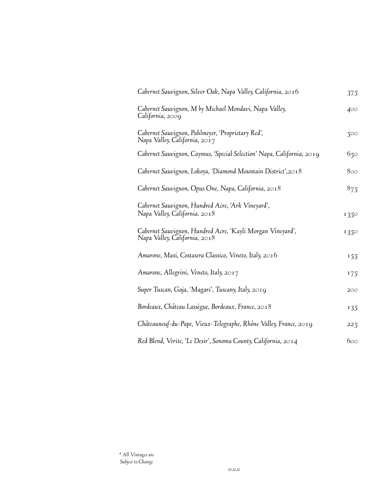| Cabernet Sauvignon, Silver Oak, Napa Valley, California, 2016                               | 375  |
|---------------------------------------------------------------------------------------------|------|
| Cabernet Sauvignon, M by Michael Mondavi, Napa Valley,<br>California, 2009                  | 400  |
| Cabernet Sauvignon, Pahlmeyer, 'Proprietary Red',<br>Napa Valley, California, 2017          | 500  |
| Cabernet Sauvignon, Caymus, 'Special Selection' Napa, California, 2019                      | 650  |
| Cabernet Sauvignon, Lokoya, 'Diamond Mountain District', 2018                               | 800  |
| Cabernet Sauvignon, Opus One, Napa, California, 2018                                        | 875  |
| Cabernet Sauvignon, Hundred Acre, 'Ark Vineyard',<br>Napa Valley, California. 2018          | 1350 |
| Cabernet Sauvignon, Hundred Acre, 'Kayli Morgan Vineyard',<br>Napa Valley, California, 2018 | 1350 |
| Amarone, Masi, Costasera Classico, Veneto, Italy, 2016                                      | 155  |
| Amarone, Allegrini, Veneto, Italy, 2017                                                     | 175  |
| Super Tuscan, Gaja, 'Magari', Tuscany, Italy, 2019                                          | 200  |
| Bordeaux, Château Lassègue, Bordeaux, France, 2018                                          | 135  |
| Châteauneuf-du-Pape, Vieux-Telegraphe, Rhône Valley, France, 2019                           | 225  |
| Red Blend, Verite, 'Le Desir', Sonoma County, California, 2014                              | 600  |

*\* All Vintages are Subject to Change*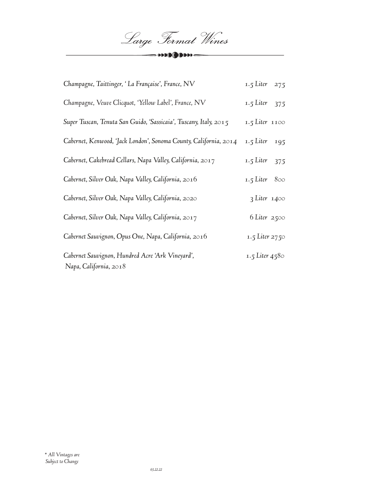Large Format Wines  $-0000(000000)$ 

| Champagne, Taittinger, 'La Française', France, NV                          | 1.5 Liter 275      |
|----------------------------------------------------------------------------|--------------------|
| Champagne, Veuve Clicquot, 'Yellow Label', France, NV                      | 1.5 Liter<br>375   |
| Super Tuscan, Tenuta San Guido, 'Sassicaia', Tuscany, Italy, 2015          | $1.5$ Liter $1100$ |
| Cabernet, Kenwood, 'Jack London', Sonoma County, California, 2014          | 1.5 Liter<br>195   |
| Cabernet, Cakebread Cellars, Napa Valley, California, 2017                 | 1.5 Liter<br>375   |
| Cabernet, Silver Oak, Napa Valley, California, 2016                        | 1.5 Liter $800$    |
| Cabernet, Silver Oak, Napa Valley, California, 2020                        | $3$ Liter $1400$   |
| Cabernet, Silver Oak, Napa Valley, California, 2017                        | 6 Liter 2500       |
| Cabernet Sauvignon, Opus One, Napa, California, 2016                       | 1.5 Liter 2750     |
| Cabernet Sauvignon, Hundred Acre 'Ark Vineyard',<br>Napa, California, 2018 | 1.5 Liter 4580     |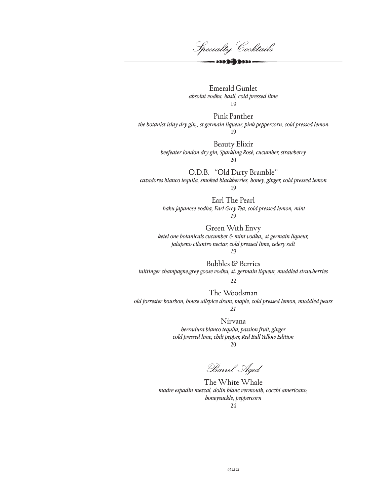Specialty Cocktails  $\mathbf{000}$  (  $\mathbf{000}$ 

Emerald Gimlet *absolut vodka, basil, cold pressed lime* 19

Pink Panther *the botanist islay dry gin,, st germain liqueur, pink peppercorn, cold pressed lemon* 19

> Beauty Elixir *beefeater london dry gin, Sparkling Rosé, cucumber, strawberry* 20

O.D.B. "Old Dirty Bramble" *cazadores blanco tequila, smoked blackberries, honey, ginger, cold pressed lemon*

19

Earl The Pearl  *haku japanese vodka, Earl Grey Tea, cold pressed lemon, mint 19*

Green With Envy *ketel one botanicals cucumber & mint vodka,, st germain liqueur, jalapeno cilantro nectar, cold pressed lime, celery salt*

*19*

Bubbles & Berries *taittinger champagne,grey goose vodka, st. germain liqueur, muddled strawberries*

22

The Woodsman *old forrester bourbon, house allspice dram, maple, cold pressed lemon, muddled pears 21*

> Nirvana *herradura blanco tequila, passion fruit, ginger cold pressed lime, chili pepper, Red Bull Yellow Edition* 20

Barrel Aged

The White Whale *madre espadin mezcal, dolin blanc vermouth, cocchi americano, honeysuckle, peppercorn* 24